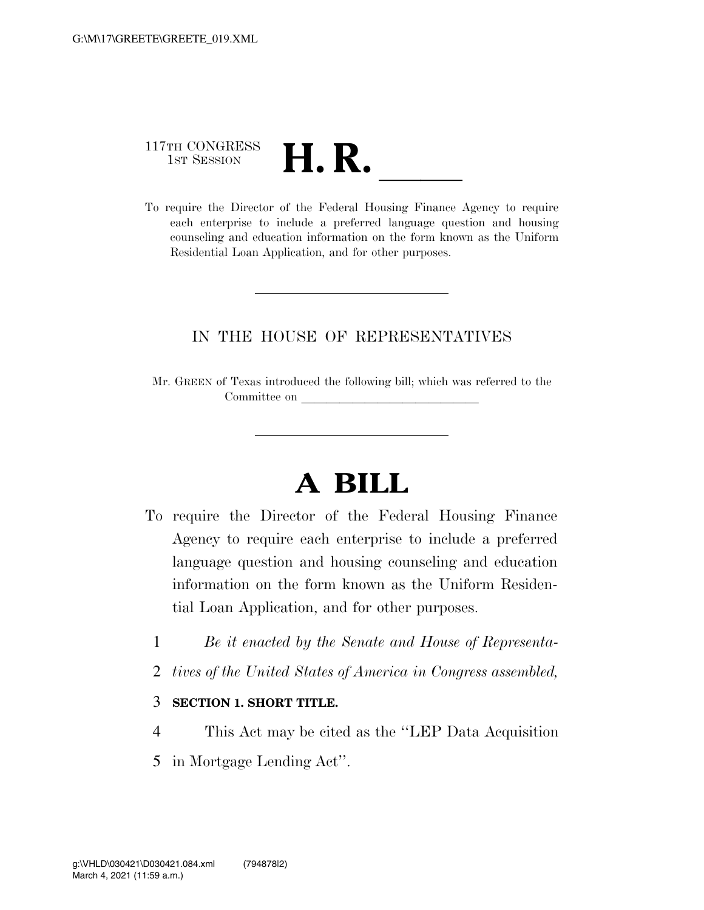# 117TH CONGRESS 117TH CONGRESS<br>1st SESSION<br>To require the Director of the Federal Housing Finance Agency to require

each enterprise to include a preferred language question and housing counseling and education information on the form known as the Uniform Residential Loan Application, and for other purposes.

### IN THE HOUSE OF REPRESENTATIVES

Mr. GREEN of Texas introduced the following bill; which was referred to the Committee on

## **A BILL**

- To require the Director of the Federal Housing Finance Agency to require each enterprise to include a preferred language question and housing counseling and education information on the form known as the Uniform Residential Loan Application, and for other purposes.
	- 1 *Be it enacted by the Senate and House of Representa-*
	- 2 *tives of the United States of America in Congress assembled,*

#### 3 **SECTION 1. SHORT TITLE.**

- 4 This Act may be cited as the ''LEP Data Acquisition
- 5 in Mortgage Lending Act''.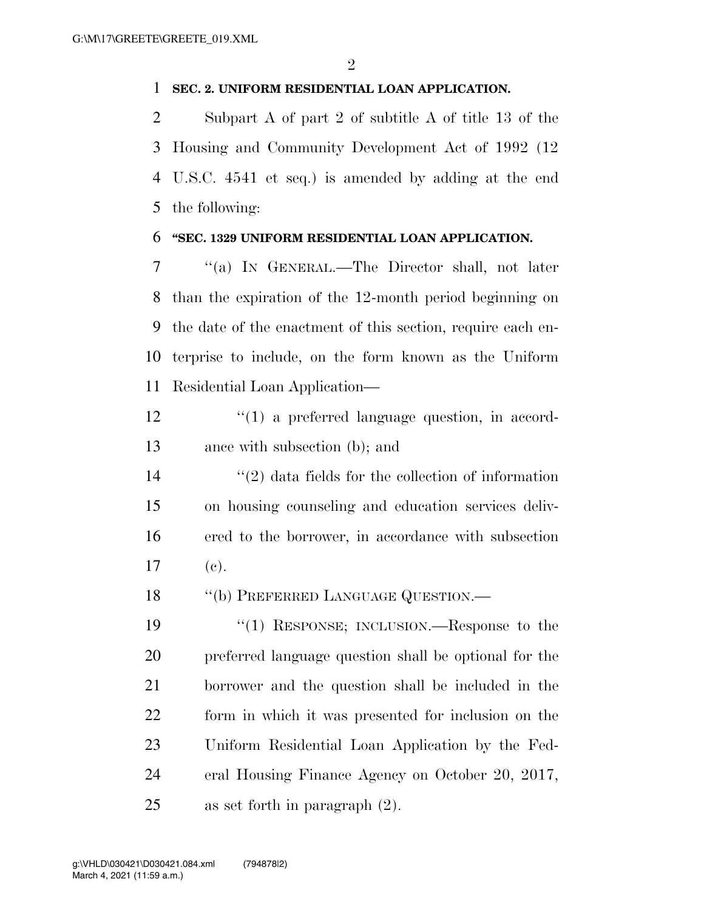#### **SEC. 2. UNIFORM RESIDENTIAL LOAN APPLICATION.**

 Subpart A of part 2 of subtitle A of title 13 of the Housing and Community Development Act of 1992 (12 U.S.C. 4541 et seq.) is amended by adding at the end the following:

#### **''SEC. 1329 UNIFORM RESIDENTIAL LOAN APPLICATION.**

 ''(a) IN GENERAL.—The Director shall, not later than the expiration of the 12-month period beginning on the date of the enactment of this section, require each en- terprise to include, on the form known as the Uniform Residential Loan Application—

12  $\frac{1}{2}$  (1) a preferred language question, in accord-ance with subsection (b); and

14 ''(2) data fields for the collection of information on housing counseling and education services deliv- ered to the borrower, in accordance with subsection (c).

18 "(b) PREFERRED LANGUAGE QUESTION.—

 ''(1) RESPONSE; INCLUSION.—Response to the preferred language question shall be optional for the borrower and the question shall be included in the form in which it was presented for inclusion on the Uniform Residential Loan Application by the Fed- eral Housing Finance Agency on October 20, 2017, as set forth in paragraph (2).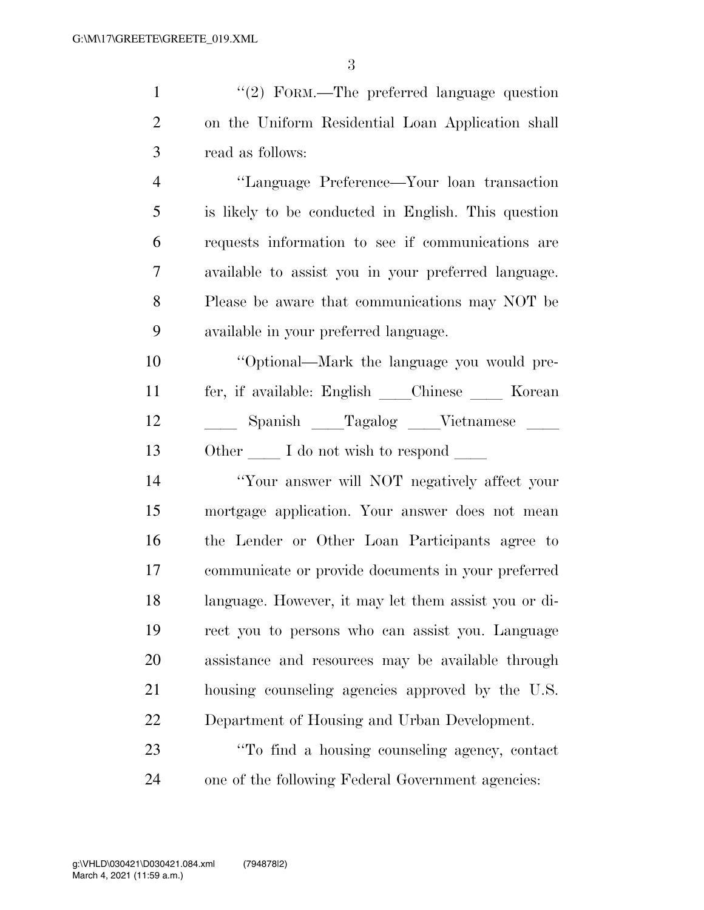| $\mathbf{1}$   | "(2) FORM.—The preferred language question           |
|----------------|------------------------------------------------------|
| $\overline{2}$ | on the Uniform Residential Loan Application shall    |
| 3              | read as follows:                                     |
| $\overline{4}$ | "Language Preference—Your loan transaction           |
| 5              | is likely to be conducted in English. This question  |
| 6              | requests information to see if communications are    |
| 7              | available to assist you in your preferred language.  |
| 8              | Please be aware that communications may NOT be       |
| 9              | available in your preferred language.                |
| 10             | "Optional—Mark the language you would pre-           |
| 11             | fer, if available: English ____Chinese _____ Korean  |
| 12             | Spanish Tagalog Vietnamese                           |
| 13             | Other I do not wish to respond                       |
| 14             | "Your answer will NOT negatively affect your         |
| 15             | mortgage application. Your answer does not mean      |
| 16             | the Lender or Other Loan Participants agree to       |
| 17             | communicate or provide documents in your preferred   |
| 18             | language. However, it may let them assist you or di- |
| 19             | rect you to persons who can assist you. Language     |
| 20             | assistance and resources may be available through    |
| 21             | housing counseling agencies approved by the U.S.     |

Department of Housing and Urban Development.

 ''To find a housing counseling agency, contact one of the following Federal Government agencies: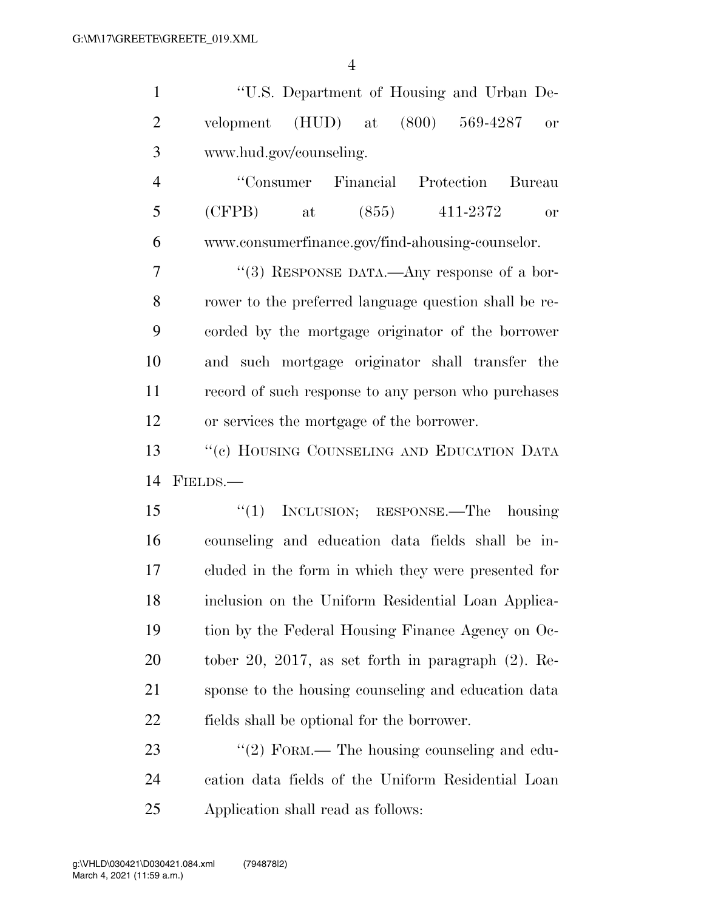| $\mathbf{1}$   | "U.S. Department of Housing and Urban De-                 |
|----------------|-----------------------------------------------------------|
| $\mathbf{2}$   | $(HUD)$ at<br>(800)<br>569-4287<br>velopment<br><b>or</b> |
| 3              | www.hud.gov/counseling.                                   |
| $\overline{4}$ | "Consumer Financial Protection<br>Bureau                  |
| 5              | (CFPB)<br>(855)<br>$at$ at<br>411-2372<br><b>or</b>       |
| 6              | www.consumerfinance.gov/find-ahousing-counselor.          |
| $\tau$         | "(3) RESPONSE DATA.—Any response of a bor-                |
| 8              | rower to the preferred language question shall be re-     |
| 9              | corded by the mortgage originator of the borrower         |
| 10             | and such mortgage originator shall transfer the           |
| 11             | record of such response to any person who purchases       |
| 12             | or services the mortgage of the borrower.                 |
| 13             | "(c) HOUSING COUNSELING AND EDUCATION DATA                |
| 14             | FIELDS.-                                                  |
| 15             | INCLUSION; RESPONSE.—The housing<br>``(1)                 |
| 16             | counseling and education data fields shall be in-         |
| 17             | cluded in the form in which they were presented for       |
| 18             | inclusion on the Uniform Residential Loan Applica-        |
| 19             | tion by the Federal Housing Finance Agency on Oc-         |
| <b>20</b>      | tober 20, 2017, as set forth in paragraph $(2)$ . Re-     |
| 21             | sponse to the housing counseling and education data       |
| 22             | fields shall be optional for the borrower.                |
| 23             | $\lq(2)$ FORM.— The housing counseling and edu-           |
| 24             | cation data fields of the Uniform Residential Loan        |

Application shall read as follows: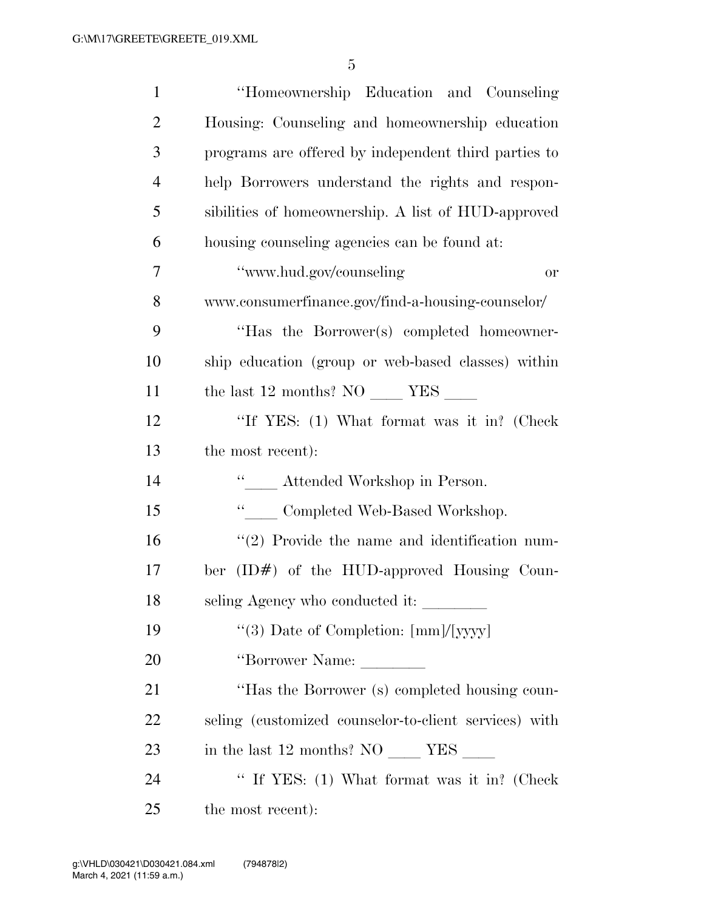| $\mathbf{1}$   | "Homeownership Education and Counseling"              |
|----------------|-------------------------------------------------------|
| $\overline{2}$ | Housing: Counseling and homeownership education       |
| 3              | programs are offered by independent third parties to  |
| $\overline{4}$ | help Borrowers understand the rights and respon-      |
| 5              | sibilities of homeownership. A list of HUD-approved   |
| 6              | housing counseling agencies can be found at:          |
| 7              | "www.hud.gov/counseling<br><b>or</b>                  |
| 8              | www.consumerfinance.gov/find-a-housing-counselor/     |
| 9              | "Has the Borrower(s) completed homeowner-             |
| 10             | ship education (group or web-based classes) within    |
| 11             | the last 12 months? NO ________ YES _______           |
| 12             | "If YES: (1) What format was it in? (Check            |
| 13             | the most recent):                                     |
| 14             | " _ Attended Workshop in Person.                      |
| 15             | $\lq\lq$ Completed Web-Based Workshop.                |
| 16             | $\lq(2)$ Provide the name and identification num-     |
| 17             | ber $(ID#)$ of the HUD-approved Housing Coun-         |
| 18             | seling Agency who conducted it:                       |
| 19             | "(3) Date of Completion: [mm]/[yyyy]                  |
| 20             | "Borrower Name:                                       |
| 21             | "Has the Borrower (s) completed housing coun-         |
| 22             | seling (customized counselor-to-client services) with |
| 23             |                                                       |
| 24             | " If YES: (1) What format was it in? (Check           |
| 25             | the most recent):                                     |